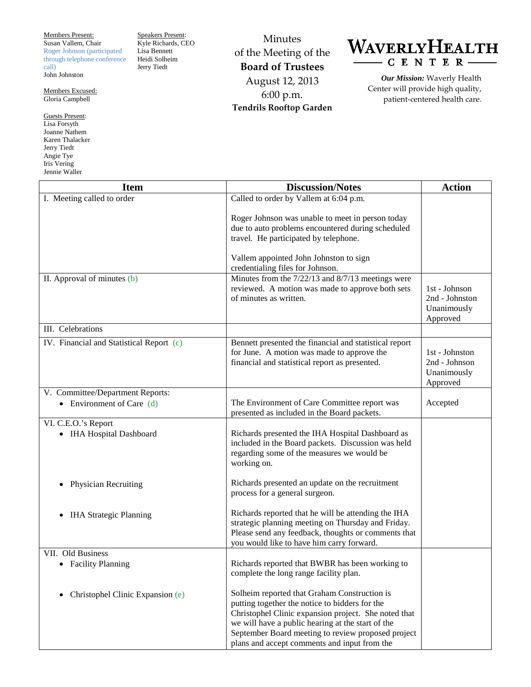Members Present: Susan Vallem, Chair Roger Johnson (participated through telephone conference call) John Johnston

Members Excused: Gloria Campbell

Guests Present: Lisa Forsyth Joanne Nathem Karen Thalacker Jerry Tiedt Angie Tye Iris Vering Jennie Waller

Speakers Present: Kyle Richards, CEO Lisa Bennett Heidi Solheim Jerry Tiedt

Minutes of the Meeting of the **Board of Trustees** August 12, 2013 6:00 p.m. **Tendrils Rooftop Garden**



*Our Mission:* Waverly Health Center will provide high quality, patient-centered health care.

| <b>Item</b>                                     | <b>Discussion/Notes</b>                                                                                                                                                                                                                                                                                           | <b>Action</b>                                              |
|-------------------------------------------------|-------------------------------------------------------------------------------------------------------------------------------------------------------------------------------------------------------------------------------------------------------------------------------------------------------------------|------------------------------------------------------------|
| I. Meeting called to order                      | Called to order by Vallem at 6:04 p.m.                                                                                                                                                                                                                                                                            |                                                            |
|                                                 | Roger Johnson was unable to meet in person today<br>due to auto problems encountered during scheduled<br>travel. He participated by telephone.                                                                                                                                                                    |                                                            |
|                                                 | Vallem appointed John Johnston to sign<br>credentialing files for Johnson.                                                                                                                                                                                                                                        |                                                            |
| II. Approval of minutes (b)                     | Minutes from the 7/22/13 and 8/7/13 meetings were<br>reviewed. A motion was made to approve both sets<br>of minutes as written.                                                                                                                                                                                   | 1st - Johnson<br>2nd - Johnston<br>Unanimously<br>Approved |
| III. Celebrations                               |                                                                                                                                                                                                                                                                                                                   |                                                            |
| IV. Financial and Statistical Report (c)        | Bennett presented the financial and statistical report<br>for June. A motion was made to approve the<br>financial and statistical report as presented.                                                                                                                                                            | 1st - Johnston<br>2nd - Johnson<br>Unanimously<br>Approved |
| V. Committee/Department Reports:                |                                                                                                                                                                                                                                                                                                                   |                                                            |
| • Environment of Care $(d)$                     | The Environment of Care Committee report was<br>presented as included in the Board packets.                                                                                                                                                                                                                       | Accepted                                                   |
| VI. C.E.O.'s Report<br>• IHA Hospital Dashboard | Richards presented the IHA Hospital Dashboard as<br>included in the Board packets. Discussion was held<br>regarding some of the measures we would be<br>working on.                                                                                                                                               |                                                            |
| <b>Physician Recruiting</b>                     | Richards presented an update on the recruitment<br>process for a general surgeon.                                                                                                                                                                                                                                 |                                                            |
| <b>IHA Strategic Planning</b>                   | Richards reported that he will be attending the IHA<br>strategic planning meeting on Thursday and Friday.<br>Please send any feedback, thoughts or comments that<br>you would like to have him carry forward.                                                                                                     |                                                            |
| VII. Old Business                               |                                                                                                                                                                                                                                                                                                                   |                                                            |
| • Facility Planning                             | Richards reported that BWBR has been working to<br>complete the long range facility plan.                                                                                                                                                                                                                         |                                                            |
| Christophel Clinic Expansion (e)                | Solheim reported that Graham Construction is<br>putting together the notice to bidders for the<br>Christophel Clinic expansion project. She noted that<br>we will have a public hearing at the start of the<br>September Board meeting to review proposed project<br>plans and accept comments and input from the |                                                            |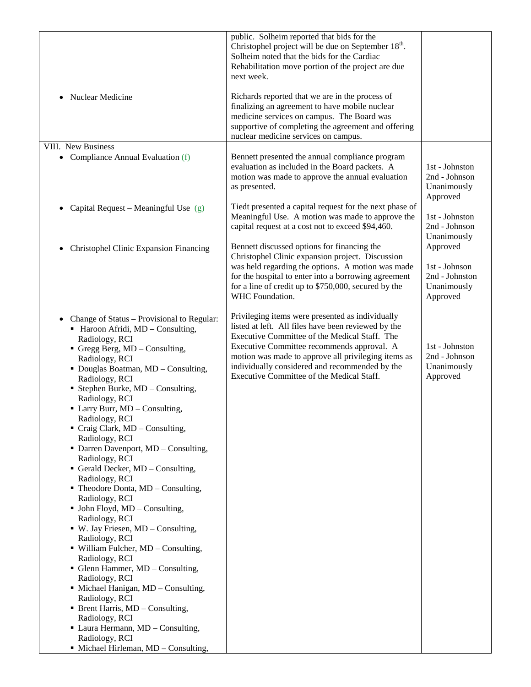| Nuclear Medicine<br>$\bullet$                                                                                                                                                                                                                                                                                                                                                                                                                                                                                                                                                                                                                                                                                                                                                                                                                                                                                                                                                                                                                                                | public. Solheim reported that bids for the<br>Christophel project will be due on September 18 <sup>th</sup> .<br>Solheim noted that the bids for the Cardiac<br>Rehabilitation move portion of the project are due<br>next week.<br>Richards reported that we are in the process of<br>finalizing an agreement to have mobile nuclear<br>medicine services on campus. The Board was<br>supportive of completing the agreement and offering |                                                                        |
|------------------------------------------------------------------------------------------------------------------------------------------------------------------------------------------------------------------------------------------------------------------------------------------------------------------------------------------------------------------------------------------------------------------------------------------------------------------------------------------------------------------------------------------------------------------------------------------------------------------------------------------------------------------------------------------------------------------------------------------------------------------------------------------------------------------------------------------------------------------------------------------------------------------------------------------------------------------------------------------------------------------------------------------------------------------------------|--------------------------------------------------------------------------------------------------------------------------------------------------------------------------------------------------------------------------------------------------------------------------------------------------------------------------------------------------------------------------------------------------------------------------------------------|------------------------------------------------------------------------|
| VIII. New Business                                                                                                                                                                                                                                                                                                                                                                                                                                                                                                                                                                                                                                                                                                                                                                                                                                                                                                                                                                                                                                                           | nuclear medicine services on campus.                                                                                                                                                                                                                                                                                                                                                                                                       |                                                                        |
| Compliance Annual Evaluation (f)<br>$\bullet$                                                                                                                                                                                                                                                                                                                                                                                                                                                                                                                                                                                                                                                                                                                                                                                                                                                                                                                                                                                                                                | Bennett presented the annual compliance program<br>evaluation as included in the Board packets. A<br>motion was made to approve the annual evaluation<br>as presented.                                                                                                                                                                                                                                                                     | 1st - Johnston<br>2nd - Johnson<br>Unanimously<br>Approved             |
| Capital Request – Meaningful Use $(g)$<br>$\bullet$                                                                                                                                                                                                                                                                                                                                                                                                                                                                                                                                                                                                                                                                                                                                                                                                                                                                                                                                                                                                                          | Tiedt presented a capital request for the next phase of<br>Meaningful Use. A motion was made to approve the<br>capital request at a cost not to exceed \$94,460.                                                                                                                                                                                                                                                                           | 1st - Johnston<br>2nd - Johnson<br>Unanimously                         |
| Christophel Clinic Expansion Financing<br>$\bullet$                                                                                                                                                                                                                                                                                                                                                                                                                                                                                                                                                                                                                                                                                                                                                                                                                                                                                                                                                                                                                          | Bennett discussed options for financing the<br>Christophel Clinic expansion project. Discussion<br>was held regarding the options. A motion was made<br>for the hospital to enter into a borrowing agreement<br>for a line of credit up to \$750,000, secured by the<br>WHC Foundation.                                                                                                                                                    | Approved<br>1st - Johnson<br>2nd - Johnston<br>Unanimously<br>Approved |
| Change of Status - Provisional to Regular:<br>• Haroon Afridi, MD - Consulting,<br>Radiology, RCI<br>Gregg Berg, MD - Consulting,<br>Radiology, RCI<br>• Douglas Boatman, MD - Consulting,<br>Radiology, RCI<br><b>Stephen Burke, MD</b> – Consulting,<br>Radiology, RCI<br>• Larry Burr, MD - Consulting,<br>Radiology, RCI<br>$\blacksquare$ Craig Clark, MD – Consulting,<br>Radiology, RCI<br>• Darren Davenport, MD - Consulting,<br>Radiology, RCI<br>Gerald Decker, $MD$ – Consulting,<br>Radiology, RCI<br>$\blacksquare$ Theodore Donta, MD – Consulting,<br>Radiology, RCI<br>$\blacksquare$ John Floyd, MD – Consulting,<br>Radiology, RCI<br>$\bullet$ W. Jay Friesen, MD – Consulting,<br>Radiology, RCI<br>$\blacksquare$ William Fulcher, MD – Consulting,<br>Radiology, RCI<br>• Glenn Hammer, MD - Consulting,<br>Radiology, RCI<br>• Michael Hanigan, MD - Consulting,<br>Radiology, RCI<br>$\blacksquare$ Brent Harris, MD – Consulting,<br>Radiology, RCI<br>• Laura Hermann, MD - Consulting,<br>Radiology, RCI<br>• Michael Hirleman, MD - Consulting, | Privileging items were presented as individually<br>listed at left. All files have been reviewed by the<br>Executive Committee of the Medical Staff. The<br>Executive Committee recommends approval. A<br>motion was made to approve all privileging items as<br>individually considered and recommended by the<br>Executive Committee of the Medical Staff.                                                                               | 1st - Johnston<br>2nd - Johnson<br>Unanimously<br>Approved             |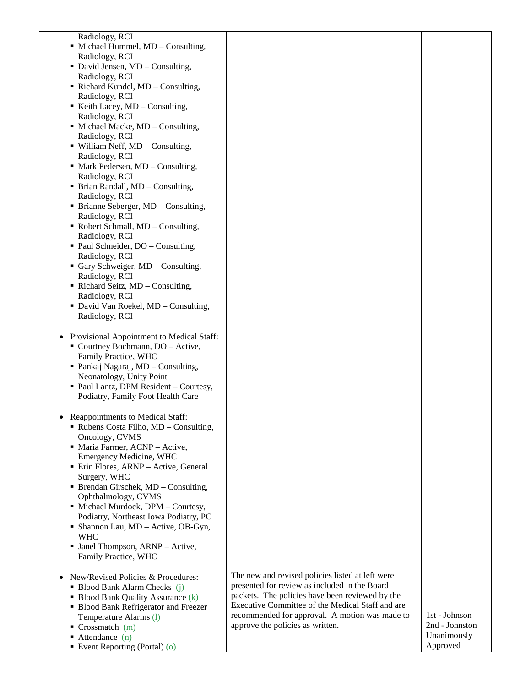Radiology, RCI

- Michael Hummel, MD Consulting, Radiology, RCI
- David Jensen, MD Consulting, Radiology, RCI
- Richard Kundel, MD Consulting, Radiology, RCI
- Exercise Keith Lacey,  $MD$  Consulting, Radiology, RCI
- Michael Macke, MD Consulting, Radiology, RCI
- William Neff, MD Consulting, Radiology, RCI
- Mark Pedersen, MD Consulting, Radiology, RCI
- Brian Randall, MD Consulting, Radiology, RCI
- Brianne Seberger, MD Consulting, Radiology, RCI
- Robert Schmall, MD Consulting, Radiology, RCI
- Paul Schneider, DO Consulting, Radiology, RCI
- Gary Schweiger, MD Consulting, Radiology, RCI
- Richard Seitz, MD Consulting, Radiology, RCI
- David Van Roekel, MD Consulting, Radiology, RCI
- Provisional Appointment to Medical Staff:
	- Courtney Bochmann, DO Active, Family Practice, WHC
	- Pankaj Nagaraj, MD Consulting, Neonatology, Unity Point
	- Paul Lantz, DPM Resident Courtesy, Podiatry, Family Foot Health Care
- Reappointments to Medical Staff:
	- Rubens Costa Filho, MD Consulting, Oncology, CVMS
	- Maria Farmer, ACNP Active, Emergency Medicine, WHC
	- **Erin Flores, ARNP Active, General** Surgery, WHC
	- Brendan Girschek, MD Consulting, Ophthalmology, CVMS
	- Michael Murdock, DPM Courtesy, Podiatry, Northeast Iowa Podiatry, PC
	- Shannon Lau, MD Active, OB-Gyn, WHC
	- Janel Thompson, ARNP Active, Family Practice, WHC
- New/Revised Policies & Procedures:
	- Blood Bank Alarm Checks (j)
	- $\blacksquare$  Blood Bank Quality Assurance (k)
	- **Blood Bank Refrigerator and Freezer** Temperature Alarms (l)
	- $\blacksquare$  Crossmatch (m)
	- $\blacksquare$  Attendance (n)
	- Event Reporting (Portal) (o)

The new and revised policies listed at left were presented for review as included in the Board packets. The policies have been reviewed by the Executive Committee of the Medical Staff and are recommended for approval. A motion was made to approve the policies as written.

1st - Johnson 2nd - Johnston Unanimously Approved